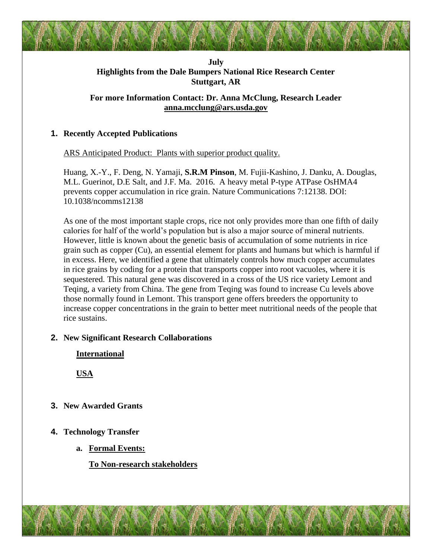## **July Highlights from the Dale Bumpers National Rice Research Center Stuttgart, AR**

# **For more Information Contact: Dr. Anna McClung, Research Leader [anna.mcclung@ars.usda.gov](mailto:anna.mcclung@ars.usda.gov)**

# **1. Recently Accepted Publications**

ARS Anticipated Product: Plants with superior product quality.

Huang, X.-Y., F. Deng, N. Yamaji, **S.R.M Pinson**, M. Fujii-Kashino, J. Danku, A. Douglas, M.L. Guerinot, D.E Salt, and J.F. Ma. 2016. A heavy metal P-type ATPase OsHMA4 prevents copper accumulation in rice grain. Nature Communications 7:12138. DOI: 10.1038/ncomms12138

As one of the most important staple crops, rice not only provides more than one fifth of daily calories for half of the world's population but is also a major source of mineral nutrients. However, little is known about the genetic basis of accumulation of some nutrients in rice grain such as copper (Cu), an essential element for plants and humans but which is harmful if in excess. Here, we identified a gene that ultimately controls how much copper accumulates in rice grains by coding for a protein that transports copper into root vacuoles, where it is sequestered. This natural gene was discovered in a cross of the US rice variety Lemont and Teqing, a variety from China. The gene from Teqing was found to increase Cu levels above those normally found in Lemont. This transport gene offers breeders the opportunity to increase copper concentrations in the grain to better meet nutritional needs of the people that rice sustains.

## **2. New Significant Research Collaborations**

**International**

**USA**

- **3. New Awarded Grants**
- **4. Technology Transfer**
	- **a. Formal Events:**

**To Non-research stakeholders**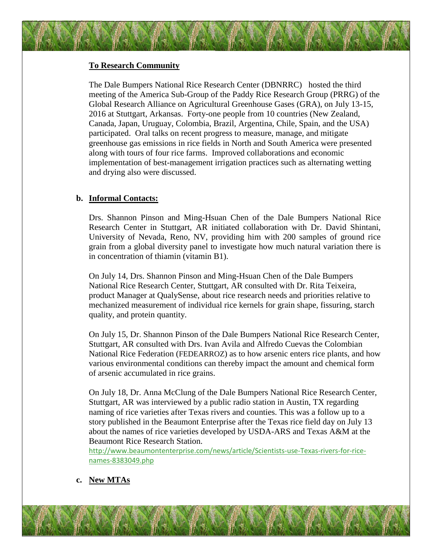#### **To Research Community**

The Dale Bumpers National Rice Research Center (DBNRRC) hosted the third meeting of the America Sub-Group of the Paddy Rice Research Group (PRRG) of the Global Research Alliance on Agricultural Greenhouse Gases (GRA), on July 13-15, 2016 at Stuttgart, Arkansas. Forty-one people from 10 countries (New Zealand, Canada, Japan, Uruguay, Colombia, Brazil, Argentina, Chile, Spain, and the USA) participated. Oral talks on recent progress to measure, manage, and mitigate greenhouse gas emissions in rice fields in North and South America were presented along with tours of four rice farms. Improved collaborations and economic implementation of best-management irrigation practices such as alternating wetting and drying also were discussed.

#### **b. Informal Contacts:**

Drs. Shannon Pinson and Ming-Hsuan Chen of the Dale Bumpers National Rice Research Center in Stuttgart, AR initiated collaboration with Dr. David Shintani, University of Nevada, Reno, NV, providing him with 200 samples of ground rice grain from a global diversity panel to investigate how much natural variation there is in concentration of thiamin (vitamin B1).

On July 14, Drs. Shannon Pinson and Ming-Hsuan Chen of the Dale Bumpers National Rice Research Center, Stuttgart, AR consulted with Dr. Rita Teixeira, product Manager at QualySense, about rice research needs and priorities relative to mechanized measurement of individual rice kernels for grain shape, fissuring, starch quality, and protein quantity.

On July 15, Dr. Shannon Pinson of the Dale Bumpers National Rice Research Center, Stuttgart, AR consulted with Drs. Ivan Avila and Alfredo Cuevas the Colombian National Rice Federation (FEDEARROZ) as to how arsenic enters rice plants, and how various environmental conditions can thereby impact the amount and chemical form of arsenic accumulated in rice grains.

On July 18, Dr. Anna McClung of the Dale Bumpers National Rice Research Center, Stuttgart, AR was interviewed by a public radio station in Austin, TX regarding naming of rice varieties after Texas rivers and counties. This was a follow up to a story published in the Beaumont Enterprise after the Texas rice field day on July 13 about the names of rice varieties developed by USDA-ARS and Texas A&M at the Beaumont Rice Research Station.

[http://www.beaumontenterprise.com/news/article/Scientists-use-Texas-rivers-for-rice](http://www.beaumontenterprise.com/news/article/Scientists-use-Texas-rivers-for-rice-names-8383049.php)[names-8383049.php](http://www.beaumontenterprise.com/news/article/Scientists-use-Texas-rivers-for-rice-names-8383049.php)

**c. New MTAs**